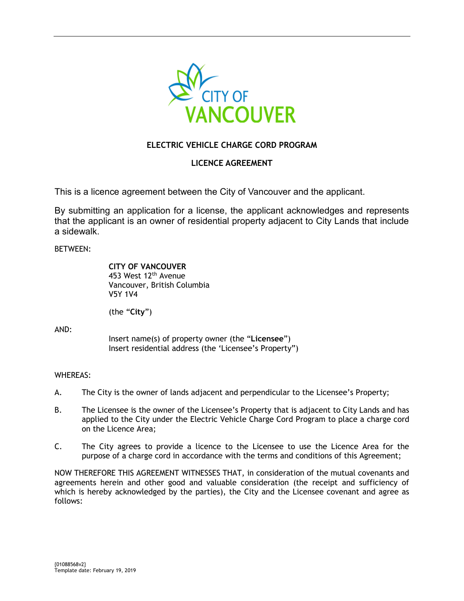

# **ELECTRIC VEHICLE CHARGE CORD PROGRAM**

## **LICENCE AGREEMENT**

This is a licence agreement between the City of Vancouver and the applicant.

By submitting an application for a license, the applicant acknowledges and represents that the applicant is an owner of residential property adjacent to City Lands that include a sidewalk.

BETWEEN:

**CITY OF VANCOUVER** 453 West 12<sup>th</sup> Avenue Vancouver, British Columbia V5Y 1V4

(the "**City**")

AND:

Insert name(s) of property owner (the "**Licensee**") Insert residential address (the 'Licensee's Property")

## WHEREAS:

- A. The City is the owner of lands adjacent and perpendicular to the Licensee's Property;
- B. The Licensee is the owner of the Licensee's Property that is adjacent to City Lands and has applied to the City under the Electric Vehicle Charge Cord Program to place a charge cord on the Licence Area;
- C. The City agrees to provide a licence to the Licensee to use the Licence Area for the purpose of a charge cord in accordance with the terms and conditions of this Agreement;

NOW THEREFORE THIS AGREEMENT WITNESSES THAT, in consideration of the mutual covenants and agreements herein and other good and valuable consideration (the receipt and sufficiency of which is hereby acknowledged by the parties), the City and the Licensee covenant and agree as follows: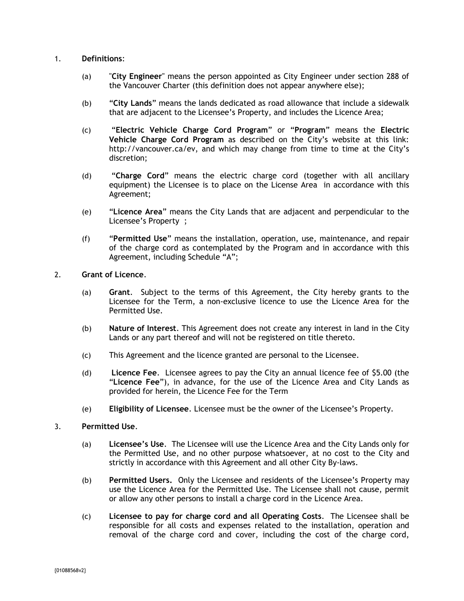### 1. **Definitions**:

- (a) "**City Engineer**" means the person appointed as City Engineer under section 288 of the Vancouver Charter (this definition does not appear anywhere else);
- (b) "**City Lands**" means the lands dedicated as road allowance that include a sidewalk that are adjacent to the Licensee's Property, and includes the Licence Area;
- (c) "**Electric Vehicle Charge Cord Program**" or "**Program**" means the **Electric Vehicle Charge Cord Program** as described on the City's website at this link: http://vancouver.ca/ev, and which may change from time to time at the City's discretion;
- (d) "**Charge Cord**" means the electric charge cord (together with all ancillary equipment) the Licensee is to place on the License Area in accordance with this Agreement;
- (e) "**Licence Area**" means the City Lands that are adjacent and perpendicular to the Licensee's Property ;
- (f) "**Permitted Use**" means the installation, operation, use, maintenance, and repair of the charge cord as contemplated by the Program and in accordance with this Agreement, including Schedule "A";

### 2. **Grant of Licence**.

- (a) **Grant**. Subject to the terms of this Agreement, the City hereby grants to the Licensee for the Term, a non-exclusive licence to use the Licence Area for the Permitted Use.
- (b) **Nature of Interest**. This Agreement does not create any interest in land in the City Lands or any part thereof and will not be registered on title thereto.
- (c) This Agreement and the licence granted are personal to the Licensee.
- (d) **Licence Fee**. Licensee agrees to pay the City an annual licence fee of \$5.00 (the "**Licence Fee**"), in advance, for the use of the Licence Area and City Lands as provided for herein, the Licence Fee for the Term
- (e) **Eligibility of Licensee**. Licensee must be the owner of the Licensee's Property.

## 3. **Permitted Use**.

- (a) **Licensee's Use**. The Licensee will use the Licence Area and the City Lands only for the Permitted Use, and no other purpose whatsoever, at no cost to the City and strictly in accordance with this Agreement and all other City By-laws.
- (b) **Permitted Users.** Only the Licensee and residents of the Licensee's Property may use the Licence Area for the Permitted Use. The Licensee shall not cause, permit or allow any other persons to install a charge cord in the Licence Area.
- (c) **Licensee to pay for charge cord and all Operating Costs**. The Licensee shall be responsible for all costs and expenses related to the installation, operation and removal of the charge cord and cover, including the cost of the charge cord,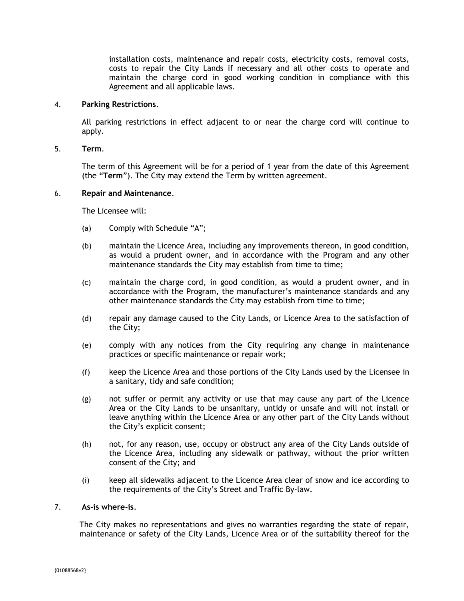installation costs, maintenance and repair costs, electricity costs, removal costs, costs to repair the City Lands if necessary and all other costs to operate and maintain the charge cord in good working condition in compliance with this Agreement and all applicable laws.

### 4. **Parking Restrictions**.

All parking restrictions in effect adjacent to or near the charge cord will continue to apply.

### 5. **Term**.

The term of this Agreement will be for a period of 1 year from the date of this Agreement (the "**Term**"). The City may extend the Term by written agreement.

#### 6. **Repair and Maintenance**.

The Licensee will:

- (a) Comply with Schedule "A";
- (b) maintain the Licence Area, including any improvements thereon, in good condition, as would a prudent owner, and in accordance with the Program and any other maintenance standards the City may establish from time to time;
- (c) maintain the charge cord, in good condition, as would a prudent owner, and in accordance with the Program, the manufacturer's maintenance standards and any other maintenance standards the City may establish from time to time;
- (d) repair any damage caused to the City Lands, or Licence Area to the satisfaction of the City;
- (e) comply with any notices from the City requiring any change in maintenance practices or specific maintenance or repair work;
- (f) keep the Licence Area and those portions of the City Lands used by the Licensee in a sanitary, tidy and safe condition;
- (g) not suffer or permit any activity or use that may cause any part of the Licence Area or the City Lands to be unsanitary, untidy or unsafe and will not install or leave anything within the Licence Area or any other part of the City Lands without the City's explicit consent;
- (h) not, for any reason, use, occupy or obstruct any area of the City Lands outside of the Licence Area, including any sidewalk or pathway, without the prior written consent of the City; and
- (i) keep all sidewalks adjacent to the Licence Area clear of snow and ice according to the requirements of the City's Street and Traffic By-law.

#### 7. **As-is where-is**.

The City makes no representations and gives no warranties regarding the state of repair, maintenance or safety of the City Lands, Licence Area or of the suitability thereof for the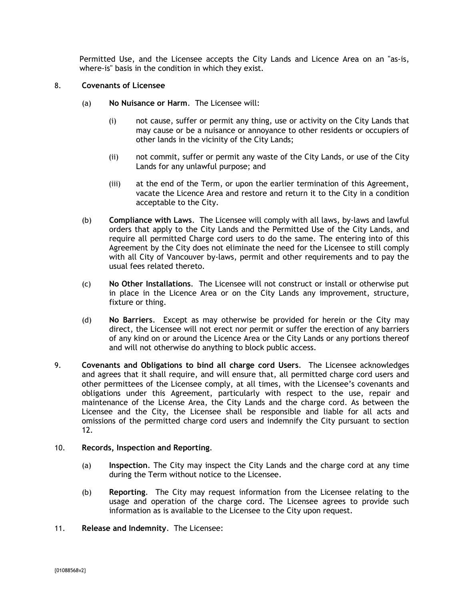Permitted Use, and the Licensee accepts the City Lands and Licence Area on an "as-is, where-is" basis in the condition in which they exist.

- 8. **Covenants of Licensee**
	- (a) **No Nuisance or Harm**. The Licensee will:
		- (i) not cause, suffer or permit any thing, use or activity on the City Lands that may cause or be a nuisance or annoyance to other residents or occupiers of other lands in the vicinity of the City Lands;
		- (ii) not commit, suffer or permit any waste of the City Lands, or use of the City Lands for any unlawful purpose; and
		- (iii) at the end of the Term, or upon the earlier termination of this Agreement, vacate the Licence Area and restore and return it to the City in a condition acceptable to the City.
	- (b) **Compliance with Laws**. The Licensee will comply with all laws, by-laws and lawful orders that apply to the City Lands and the Permitted Use of the City Lands, and require all permitted Charge cord users to do the same. The entering into of this Agreement by the City does not eliminate the need for the Licensee to still comply with all City of Vancouver by-laws, permit and other requirements and to pay the usual fees related thereto.
	- (c) **No Other Installations**. The Licensee will not construct or install or otherwise put in place in the Licence Area or on the City Lands any improvement, structure, fixture or thing.
	- (d) **No Barriers**. Except as may otherwise be provided for herein or the City may direct, the Licensee will not erect nor permit or suffer the erection of any barriers of any kind on or around the Licence Area or the City Lands or any portions thereof and will not otherwise do anything to block public access.
- 9. **Covenants and Obligations to bind all charge cord Users**. The Licensee acknowledges and agrees that it shall require, and will ensure that, all permitted charge cord users and other permittees of the Licensee comply, at all times, with the Licensee's covenants and obligations under this Agreement, particularly with respect to the use, repair and maintenance of the License Area, the City Lands and the charge cord. As between the Licensee and the City, the Licensee shall be responsible and liable for all acts and omissions of the permitted charge cord users and indemnify the City pursuant to section 12.

## 10. **Records, Inspection and Reporting**.

- (a) **Inspection**. The City may inspect the City Lands and the charge cord at any time during the Term without notice to the Licensee.
- (b) **Reporting**. The City may request information from the Licensee relating to the usage and operation of the charge cord. The Licensee agrees to provide such information as is available to the Licensee to the City upon request.
- 11. **Release and Indemnity**. The Licensee: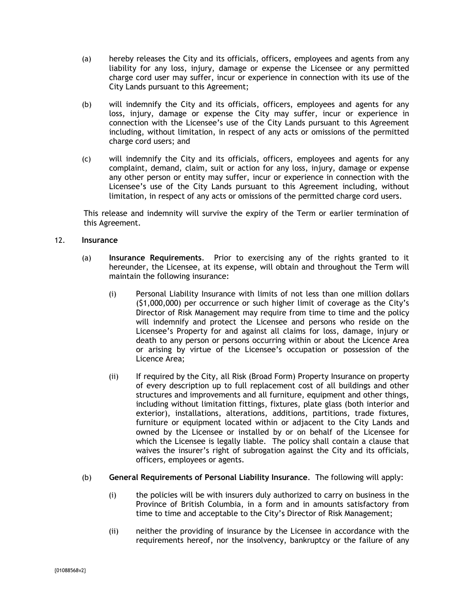- (a) hereby releases the City and its officials, officers, employees and agents from any liability for any loss, injury, damage or expense the Licensee or any permitted charge cord user may suffer, incur or experience in connection with its use of the City Lands pursuant to this Agreement;
- (b) will indemnify the City and its officials, officers, employees and agents for any loss, injury, damage or expense the City may suffer, incur or experience in connection with the Licensee's use of the City Lands pursuant to this Agreement including, without limitation, in respect of any acts or omissions of the permitted charge cord users; and
- (c) will indemnify the City and its officials, officers, employees and agents for any complaint, demand, claim, suit or action for any loss, injury, damage or expense any other person or entity may suffer, incur or experience in connection with the Licensee's use of the City Lands pursuant to this Agreement including, without limitation, in respect of any acts or omissions of the permitted charge cord users.

This release and indemnity will survive the expiry of the Term or earlier termination of this Agreement.

## 12. **Insurance**

- (a) **Insurance Requirements**. Prior to exercising any of the rights granted to it hereunder, the Licensee, at its expense, will obtain and throughout the Term will maintain the following insurance:
	- (i) Personal Liability Insurance with limits of not less than one million dollars (\$1,000,000) per occurrence or such higher limit of coverage as the City's Director of Risk Management may require from time to time and the policy will indemnify and protect the Licensee and persons who reside on the Licensee's Property for and against all claims for loss, damage, injury or death to any person or persons occurring within or about the Licence Area or arising by virtue of the Licensee's occupation or possession of the Licence Area;
	- (ii) If required by the City, all Risk (Broad Form) Property Insurance on property of every description up to full replacement cost of all buildings and other structures and improvements and all furniture, equipment and other things, including without limitation fittings, fixtures, plate glass (both interior and exterior), installations, alterations, additions, partitions, trade fixtures, furniture or equipment located within or adjacent to the City Lands and owned by the Licensee or installed by or on behalf of the Licensee for which the Licensee is legally liable. The policy shall contain a clause that waives the insurer's right of subrogation against the City and its officials, officers, employees or agents.
- (b) **General Requirements of Personal Liability Insurance**. The following will apply:
	- (i) the policies will be with insurers duly authorized to carry on business in the Province of British Columbia, in a form and in amounts satisfactory from time to time and acceptable to the City's Director of Risk Management;
	- (ii) neither the providing of insurance by the Licensee in accordance with the requirements hereof, nor the insolvency, bankruptcy or the failure of any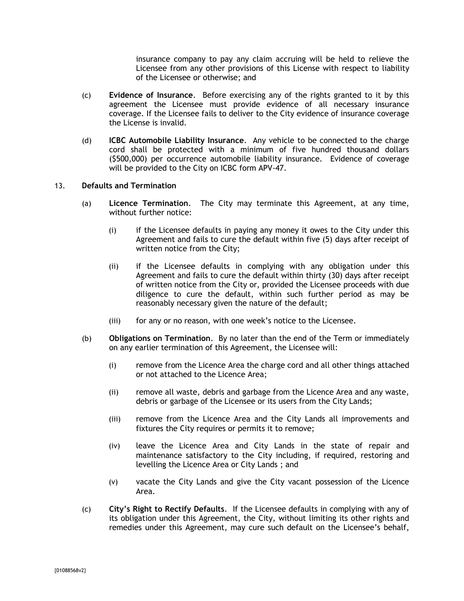insurance company to pay any claim accruing will be held to relieve the Licensee from any other provisions of this License with respect to liability of the Licensee or otherwise; and

- (c) **Evidence of Insurance**. Before exercising any of the rights granted to it by this agreement the Licensee must provide evidence of all necessary insurance coverage. If the Licensee fails to deliver to the City evidence of insurance coverage the License is invalid.
- (d) **ICBC Automobile Liability Insurance**. Any vehicle to be connected to the charge cord shall be protected with a minimum of five hundred thousand dollars (\$500,000) per occurrence automobile liability insurance. Evidence of coverage will be provided to the City on ICBC form APV-47.

### 13. **Defaults and Termination**

- (a) **Licence Termination**. The City may terminate this Agreement, at any time, without further notice:
	- (i) if the Licensee defaults in paying any money it owes to the City under this Agreement and fails to cure the default within five (5) days after receipt of written notice from the City;
	- (ii) if the Licensee defaults in complying with any obligation under this Agreement and fails to cure the default within thirty (30) days after receipt of written notice from the City or, provided the Licensee proceeds with due diligence to cure the default, within such further period as may be reasonably necessary given the nature of the default;
	- (iii) for any or no reason, with one week's notice to the Licensee.
- (b) **Obligations on Termination**. By no later than the end of the Term or immediately on any earlier termination of this Agreement, the Licensee will:
	- (i) remove from the Licence Area the charge cord and all other things attached or not attached to the Licence Area;
	- (ii) remove all waste, debris and garbage from the Licence Area and any waste, debris or garbage of the Licensee or its users from the City Lands;
	- (iii) remove from the Licence Area and the City Lands all improvements and fixtures the City requires or permits it to remove;
	- (iv) leave the Licence Area and City Lands in the state of repair and maintenance satisfactory to the City including, if required, restoring and levelling the Licence Area or City Lands ; and
	- (v) vacate the City Lands and give the City vacant possession of the Licence Area.
- (c) **City's Right to Rectify Defaults**. If the Licensee defaults in complying with any of its obligation under this Agreement, the City, without limiting its other rights and remedies under this Agreement, may cure such default on the Licensee's behalf,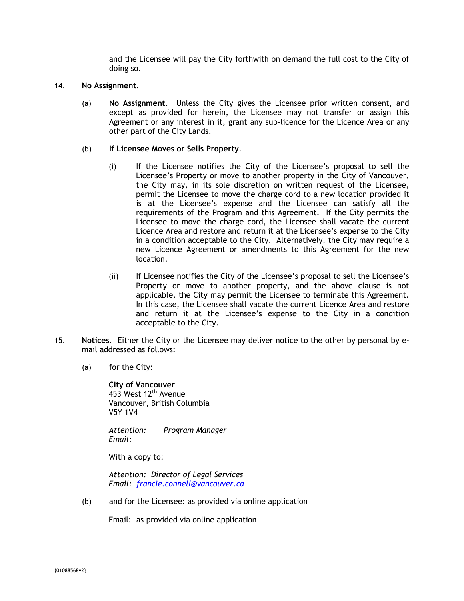and the Licensee will pay the City forthwith on demand the full cost to the City of doing so.

#### 14. **No Assignment**.

(a) **No Assignment**. Unless the City gives the Licensee prior written consent, and except as provided for herein, the Licensee may not transfer or assign this Agreement or any interest in it, grant any sub-licence for the Licence Area or any other part of the City Lands.

### (b) **If Licensee Moves or Sells Property**.

- (i) If the Licensee notifies the City of the Licensee's proposal to sell the Licensee's Property or move to another property in the City of Vancouver, the City may, in its sole discretion on written request of the Licensee, permit the Licensee to move the charge cord to a new location provided it is at the Licensee's expense and the Licensee can satisfy all the requirements of the Program and this Agreement. If the City permits the Licensee to move the charge cord, the Licensee shall vacate the current Licence Area and restore and return it at the Licensee's expense to the City in a condition acceptable to the City. Alternatively, the City may require a new Licence Agreement or amendments to this Agreement for the new location.
- (ii) If Licensee notifies the City of the Licensee's proposal to sell the Licensee's Property or move to another property, and the above clause is not applicable, the City may permit the Licensee to terminate this Agreement. In this case, the Licensee shall vacate the current Licence Area and restore and return it at the Licensee's expense to the City in a condition acceptable to the City.
- 15. **Notices**. Either the City or the Licensee may deliver notice to the other by personal by email addressed as follows:
	- (a) for the City:

**City of Vancouver** 453 West 12<sup>th</sup> Avenue Vancouver, British Columbia V5Y 1V4

*Attention: Program Manager Email:*

With a copy to:

*Attention: Director of Legal Services Email: [francie.connell@vancouver.ca](mailto:francie.connell@vancouver.ca)*

(b) and for the Licensee: as provided via online application

Email: as provided via online application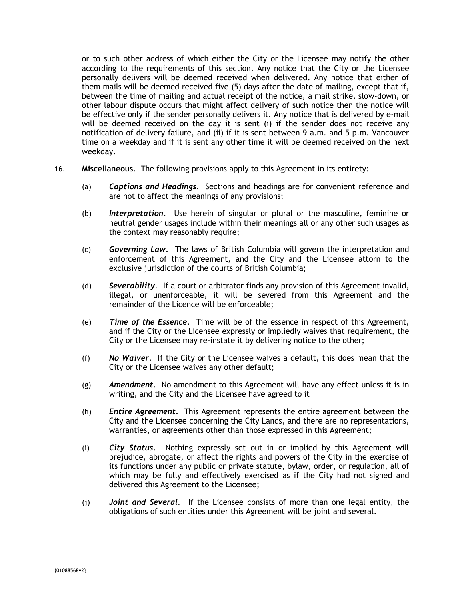or to such other address of which either the City or the Licensee may notify the other according to the requirements of this section. Any notice that the City or the Licensee personally delivers will be deemed received when delivered. Any notice that either of them mails will be deemed received five (5) days after the date of mailing, except that if, between the time of mailing and actual receipt of the notice, a mail strike, slow-down, or other labour dispute occurs that might affect delivery of such notice then the notice will be effective only if the sender personally delivers it. Any notice that is delivered by e-mail will be deemed received on the day it is sent (i) if the sender does not receive any notification of delivery failure, and (ii) if it is sent between 9 a.m. and 5 p.m. Vancouver time on a weekday and if it is sent any other time it will be deemed received on the next weekday.

- 16. **Miscellaneous**. The following provisions apply to this Agreement in its entirety:
	- (a) *Captions and Headings*. Sections and headings are for convenient reference and are not to affect the meanings of any provisions;
	- (b) *Interpretation*. Use herein of singular or plural or the masculine, feminine or neutral gender usages include within their meanings all or any other such usages as the context may reasonably require;
	- (c) *Governing Law*. The laws of British Columbia will govern the interpretation and enforcement of this Agreement, and the City and the Licensee attorn to the exclusive jurisdiction of the courts of British Columbia;
	- (d) *Severability.* If a court or arbitrator finds any provision of this Agreement invalid, illegal, or unenforceable, it will be severed from this Agreement and the remainder of the Licence will be enforceable;
	- (e) *Time of the Essence*. Time will be of the essence in respect of this Agreement, and if the City or the Licensee expressly or impliedly waives that requirement, the City or the Licensee may re-instate it by delivering notice to the other;
	- (f) *No Waiver*. If the City or the Licensee waives a default, this does mean that the City or the Licensee waives any other default;
	- (g) *Amendment*. No amendment to this Agreement will have any effect unless it is in writing, and the City and the Licensee have agreed to it
	- (h) *Entire Agreement*. This Agreement represents the entire agreement between the City and the Licensee concerning the City Lands, and there are no representations, warranties, or agreements other than those expressed in this Agreement;
	- (i) *City Status*. Nothing expressly set out in or implied by this Agreement will prejudice, abrogate, or affect the rights and powers of the City in the exercise of its functions under any public or private statute, bylaw, order, or regulation, all of which may be fully and effectively exercised as if the City had not signed and delivered this Agreement to the Licensee;
	- (j) *Joint and Several.* If the Licensee consists of more than one legal entity, the obligations of such entities under this Agreement will be joint and several.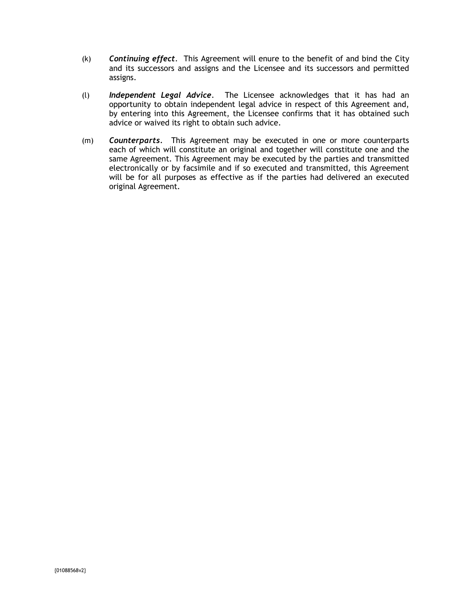- (k) *Continuing effect*. This Agreement will enure to the benefit of and bind the City and its successors and assigns and the Licensee and its successors and permitted assigns.
- (l) *Independent Legal Advice*. The Licensee acknowledges that it has had an opportunity to obtain independent legal advice in respect of this Agreement and, by entering into this Agreement, the Licensee confirms that it has obtained such advice or waived its right to obtain such advice.
- (m) *Counterparts.*This Agreement may be executed in one or more counterparts each of which will constitute an original and together will constitute one and the same Agreement. This Agreement may be executed by the parties and transmitted electronically or by facsimile and if so executed and transmitted, this Agreement will be for all purposes as effective as if the parties had delivered an executed original Agreement.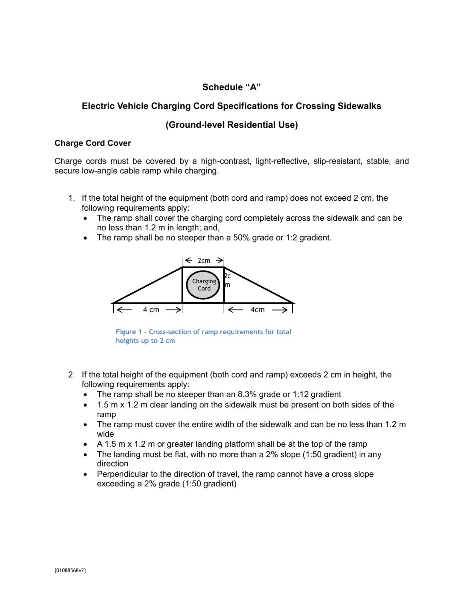# **Schedule "A"**

# **Electric Vehicle Charging Cord Specifications for Crossing Sidewalks**

## **(Ground-level Residential Use)**

## **Charge Cord Cover**

Charge cords must be covered by a high-contrast, light-reflective, slip-resistant, stable, and secure low-angle cable ramp while charging.

- 1. If the total height of the equipment (both cord and ramp) does not exceed 2 cm, the following requirements apply:
	- The ramp shall cover the charging cord completely across the sidewalk and can be no less than 1.2 m in length; and,
	- The ramp shall be no steeper than a 50% grade or 1:2 gradient.



**Figure 1 - Cross-section of ramp requirements for total heights up to 2 cm**

- 2. If the total height of the equipment (both cord and ramp) exceeds 2 cm in height, the following requirements apply:
	- The ramp shall be no steeper than an 8.3% grade or 1:12 gradient
	- 1.5 m x 1.2 m clear landing on the sidewalk must be present on both sides of the ramp
	- The ramp must cover the entire width of the sidewalk and can be no less than 1.2 m wide
	- A 1.5 m x 1.2 m or greater landing platform shall be at the top of the ramp
	- The landing must be flat, with no more than a 2% slope (1:50 gradient) in any direction
	- Perpendicular to the direction of travel, the ramp cannot have a cross slope exceeding a 2% grade (1:50 gradient)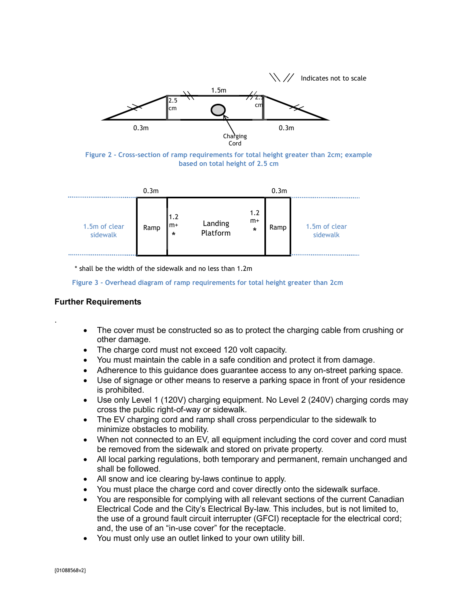

**Figure 2 - Cross-section of ramp requirements for total height greater than 2cm; example based on total height of 2.5 cm**

|                           | 0.3 <sub>m</sub> |                                           |                     |                        | 0.3 <sub>m</sub> |                           |
|---------------------------|------------------|-------------------------------------------|---------------------|------------------------|------------------|---------------------------|
| 1.5m of clear<br>sidewalk | Ramp             | 1.2<br>$\mathsf{Im}\mathsf{+}$<br>$\star$ | Landing<br>Platform | 1.2<br>$m+$<br>$\star$ | Ramp             | 1.5m of clear<br>sidewalk |

\* shall be the width of the sidewalk and no less than 1.2m

**Figure 3 - Overhead diagram of ramp requirements for total height greater than 2cm**

## **Further Requirements**

.

- The cover must be constructed so as to protect the charging cable from crushing or other damage.
- The charge cord must not exceed 120 volt capacity.
- You must maintain the cable in a safe condition and protect it from damage.
- Adherence to this guidance does guarantee access to any on-street parking space.
- Use of signage or other means to reserve a parking space in front of your residence is prohibited.
- Use only Level 1 (120V) charging equipment. No Level 2 (240V) charging cords may cross the public right-of-way or sidewalk.
- The EV charging cord and ramp shall cross perpendicular to the sidewalk to minimize obstacles to mobility.
- When not connected to an EV, all equipment including the cord cover and cord must be removed from the sidewalk and stored on private property.
- All local parking regulations, both temporary and permanent, remain unchanged and shall be followed.
- All snow and ice clearing by-laws continue to apply.
- You must place the charge cord and cover directly onto the sidewalk surface.
- You are responsible for complying with all relevant sections of the current Canadian Electrical Code and the City's Electrical By-law. This includes, but is not limited to, the use of a ground fault circuit interrupter (GFCI) receptacle for the electrical cord; and, the use of an "in-use cover" for the receptacle.
- You must only use an outlet linked to your own utility bill.